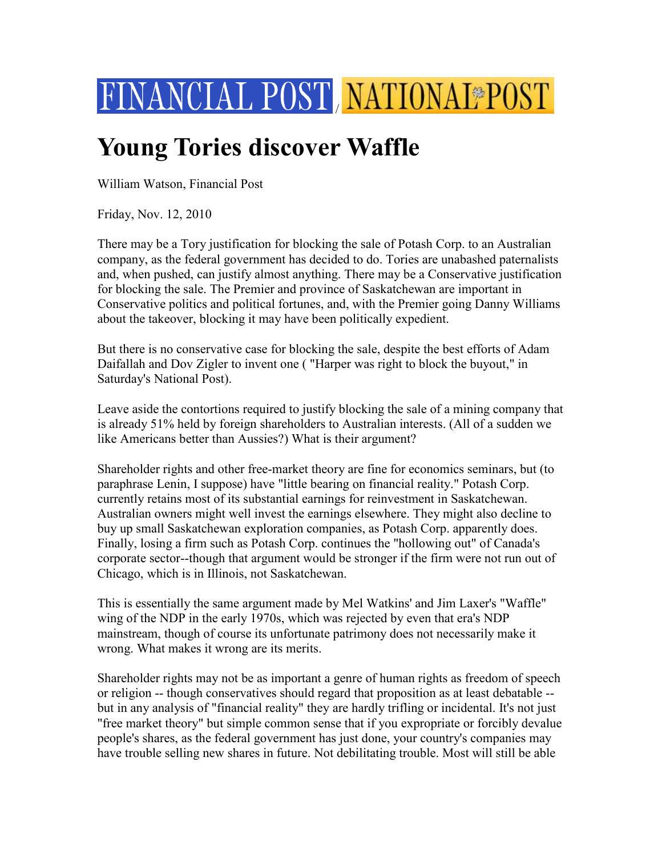

## **Young Tories discover Waffle**

William Watson, Financial Post

Friday, Nov. 12, 2010

There may be a Tory justification for blocking the sale of Potash Corp. to an Australian company, as the federal government has decided to do. Tories are unabashed paternalists and, when pushed, can justify almost anything. There may be a Conservative justification for blocking the sale. The Premier and province of Saskatchewan are important in Conservative politics and political fortunes, and, with the Premier going Danny Williams about the takeover, blocking it may have been politically expedient.

But there is no conservative case for blocking the sale, despite the best efforts of Adam Daifallah and Dov Zigler to invent one ( "Harper was right to block the buyout," in Saturday's National Post).

Leave aside the contortions required to justify blocking the sale of a mining company that is already 51% held by foreign shareholders to Australian interests. (All of a sudden we like Americans better than Aussies?) What is their argument?

Shareholder rights and other free-market theory are fine for economics seminars, but (to paraphrase Lenin, I suppose) have "little bearing on financial reality." Potash Corp. currently retains most of its substantial earnings for reinvestment in Saskatchewan. Australian owners might well invest the earnings elsewhere. They might also decline to buy up small Saskatchewan exploration companies, as Potash Corp. apparently does. Finally, losing a firm such as Potash Corp. continues the "hollowing out" of Canada's corporate sector--though that argument would be stronger if the firm were not run out of Chicago, which is in Illinois, not Saskatchewan.

This is essentially the same argument made by Mel Watkins' and Jim Laxer's "Waffle" wing of the NDP in the early 1970s, which was rejected by even that era's NDP mainstream, though of course its unfortunate patrimony does not necessarily make it wrong. What makes it wrong are its merits.

Shareholder rights may not be as important a genre of human rights as freedom of speech or religion -- though conservatives should regard that proposition as at least debatable - but in any analysis of "financial reality" they are hardly trifling or incidental. It's not just "free market theory" but simple common sense that if you expropriate or forcibly devalue people's shares, as the federal government has just done, your country's companies may have trouble selling new shares in future. Not debilitating trouble. Most will still be able